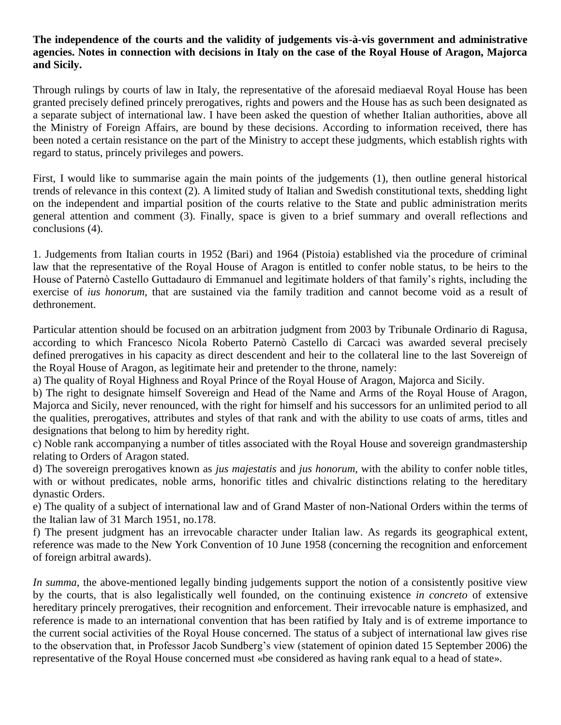## **The independence of the courts and the validity of judgements vis-à-vis government and administrative agencies. Notes in connection with decisions in Italy on the case of the Royal House of Aragon, Majorca and Sicily.**

Through rulings by courts of law in Italy, the representative of the aforesaid mediaeval Royal House has been granted precisely defined princely prerogatives, rights and powers and the House has as such been designated as a separate subject of international law. I have been asked the question of whether Italian authorities, above all the Ministry of Foreign Affairs, are bound by these decisions. According to information received, there has been noted a certain resistance on the part of the Ministry to accept these judgments, which establish rights with regard to status, princely privileges and powers.

First, I would like to summarise again the main points of the judgements (1), then outline general historical trends of relevance in this context (2). A limited study of Italian and Swedish constitutional texts, shedding light on the independent and impartial position of the courts relative to the State and public administration merits general attention and comment (3). Finally, space is given to a brief summary and overall reflections and conclusions (4).

1. Judgements from Italian courts in 1952 (Bari) and 1964 (Pistoia) established via the procedure of criminal law that the representative of the Royal House of Aragon is entitled to confer noble status, to be heirs to the House of Paternò Castello Guttadauro di Emmanuel and legitimate holders of that family's rights, including the exercise of *ius honorum*, that are sustained via the family tradition and cannot become void as a result of dethronement.

Particular attention should be focused on an arbitration judgment from 2003 by Tribunale Ordinario di Ragusa, according to which Francesco Nicola Roberto Paternò Castello di Carcaci was awarded several precisely defined prerogatives in his capacity as direct descendent and heir to the collateral line to the last Sovereign of the Royal House of Aragon, as legitimate heir and pretender to the throne, namely:

a) The quality of Royal Highness and Royal Prince of the Royal House of Aragon, Majorca and Sicily.

b) The right to designate himself Sovereign and Head of the Name and Arms of the Royal House of Aragon, Majorca and Sicily, never renounced, with the right for himself and his successors for an unlimited period to all the qualities, prerogatives, attributes and styles of that rank and with the ability to use coats of arms, titles and designations that belong to him by heredity right.

c) Noble rank accompanying a number of titles associated with the Royal House and sovereign grandmastership relating to Orders of Aragon stated.

d) The sovereign prerogatives known as *jus majestatis* and *jus honorum*, with the ability to confer noble titles, with or without predicates, noble arms, honorific titles and chivalric distinctions relating to the hereditary dynastic Orders.

e) The quality of a subject of international law and of Grand Master of non-National Orders within the terms of the Italian law of 31 March 1951, no.178.

f) The present judgment has an irrevocable character under Italian law. As regards its geographical extent, reference was made to the New York Convention of 10 June 1958 (concerning the recognition and enforcement of foreign arbitral awards).

*In summa*, the above-mentioned legally binding judgements support the notion of a consistently positive view by the courts, that is also legalistically well founded, on the continuing existence *in concreto* of extensive hereditary princely prerogatives, their recognition and enforcement. Their irrevocable nature is emphasized, and reference is made to an international convention that has been ratified by Italy and is of extreme importance to the current social activities of the Royal House concerned. The status of a subject of international law gives rise to the observation that, in Professor Jacob Sundberg's view (statement of opinion dated 15 September 2006) the representative of the Royal House concerned must «be considered as having rank equal to a head of state».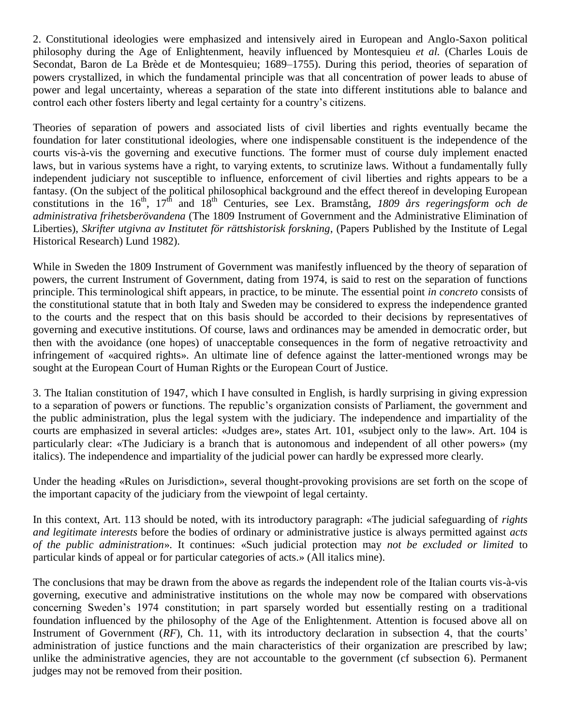2. Constitutional ideologies were emphasized and intensively aired in European and Anglo-Saxon political philosophy during the Age of Enlightenment, heavily influenced by Montesquieu *et al.* (Charles Louis de Secondat, Baron de La Brède et de Montesquieu; 1689–1755). During this period, theories of separation of powers crystallized, in which the fundamental principle was that all concentration of power leads to abuse of power and legal uncertainty, whereas a separation of the state into different institutions able to balance and control each other fosters liberty and legal certainty for a country's citizens.

Theories of separation of powers and associated lists of civil liberties and rights eventually became the foundation for later constitutional ideologies, where one indispensable constituent is the independence of the courts vis-à-vis the governing and executive functions. The former must of course duly implement enacted laws, but in various systems have a right, to varying extents, to scrutinize laws. Without a fundamentally fully independent judiciary not susceptible to influence, enforcement of civil liberties and rights appears to be a fantasy. (On the subject of the political philosophical background and the effect thereof in developing European constitutions in the 16<sup>th</sup>, 17<sup>th</sup> and 18<sup>th</sup> Centuries, see Lex. Bramstång, *1809 års regeringsform och de administrativa frihetsberövandena* (The 1809 Instrument of Government and the Administrative Elimination of Liberties), *Skrifter utgivna av Institutet för rättshistorisk forskning*, (Papers Published by the Institute of Legal Historical Research) Lund 1982).

While in Sweden the 1809 Instrument of Government was manifestly influenced by the theory of separation of powers, the current Instrument of Government, dating from 1974, is said to rest on the separation of functions principle. This terminological shift appears, in practice, to be minute. The essential point *in concreto* consists of the constitutional statute that in both Italy and Sweden may be considered to express the independence granted to the courts and the respect that on this basis should be accorded to their decisions by representatives of governing and executive institutions. Of course, laws and ordinances may be amended in democratic order, but then with the avoidance (one hopes) of unacceptable consequences in the form of negative retroactivity and infringement of «acquired rights». An ultimate line of defence against the latter-mentioned wrongs may be sought at the European Court of Human Rights or the European Court of Justice.

3. The Italian constitution of 1947, which I have consulted in English, is hardly surprising in giving expression to a separation of powers or functions. The republic's organization consists of Parliament, the government and the public administration, plus the legal system with the judiciary. The independence and impartiality of the courts are emphasized in several articles: «Judges are», states Art. 101, «subject only to the law». Art. 104 is particularly clear: «The Judiciary is a branch that is autonomous and independent of all other powers» (my italics). The independence and impartiality of the judicial power can hardly be expressed more clearly.

Under the heading «Rules on Jurisdiction», several thought-provoking provisions are set forth on the scope of the important capacity of the judiciary from the viewpoint of legal certainty.

In this context, Art. 113 should be noted, with its introductory paragraph: «The judicial safeguarding of *rights and legitimate interests* before the bodies of ordinary or administrative justice is always permitted against *acts of the public administration*». It continues: «Such judicial protection may *not be excluded or limited* to particular kinds of appeal or for particular categories of acts.» (All italics mine).

The conclusions that may be drawn from the above as regards the independent role of the Italian courts vis-à-vis governing, executive and administrative institutions on the whole may now be compared with observations concerning Sweden's 1974 constitution; in part sparsely worded but essentially resting on a traditional foundation influenced by the philosophy of the Age of the Enlightenment. Attention is focused above all on Instrument of Government (*RF*), Ch. 11, with its introductory declaration in subsection 4, that the courts' administration of justice functions and the main characteristics of their organization are prescribed by law; unlike the administrative agencies, they are not accountable to the government (cf subsection 6). Permanent judges may not be removed from their position.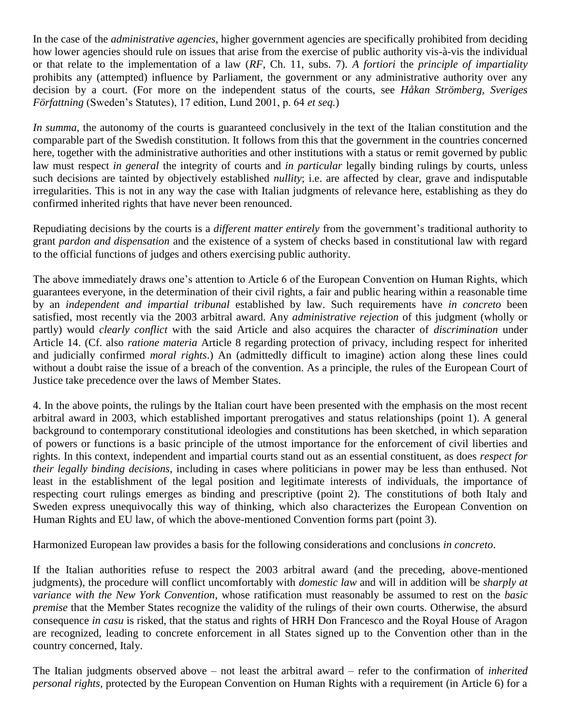In the case of the *administrative agencies,* higher government agencies are specifically prohibited from deciding how lower agencies should rule on issues that arise from the exercise of public authority vis-à-vis the individual or that relate to the implementation of a law (*RF*, Ch. 11, subs. 7). *A fortiori* the *principle of impartiality* prohibits any (attempted) influence by Parliament, the government or any administrative authority over any decision by a court. (For more on the independent status of the courts, see *Håkan Strömberg, Sveriges Författning* (Sweden's Statutes), 17 edition, Lund 2001, p. 64 *et seq.*)

*In summa*, the autonomy of the courts is guaranteed conclusively in the text of the Italian constitution and the comparable part of the Swedish constitution. It follows from this that the government in the countries concerned here, together with the administrative authorities and other institutions with a status or remit governed by public law must respect *in general* the integrity of courts and *in particular* legally binding rulings by courts, unless such decisions are tainted by objectively established *nullity*; i.e. are affected by clear, grave and indisputable irregularities. This is not in any way the case with Italian judgments of relevance here, establishing as they do confirmed inherited rights that have never been renounced.

Repudiating decisions by the courts is a *different matter entirely* from the government's traditional authority to grant *pardon and dispensation* and the existence of a system of checks based in constitutional law with regard to the official functions of judges and others exercising public authority.

The above immediately draws one's attention to Article 6 of the European Convention on Human Rights, which guarantees everyone, in the determination of their civil rights, a fair and public hearing within a reasonable time by an *independent and impartial tribunal* established by law. Such requirements have *in concreto* been satisfied, most recently via the 2003 arbitral award. Any *administrative rejection* of this judgment (wholly or partly) would *clearly conflict* with the said Article and also acquires the character of *discrimination* under Article 14. (Cf. also *ratione materia* Article 8 regarding protection of privacy, including respect for inherited and judicially confirmed *moral rights*.) An (admittedly difficult to imagine) action along these lines could without a doubt raise the issue of a breach of the convention. As a principle, the rules of the European Court of Justice take precedence over the laws of Member States.

4. In the above points, the rulings by the Italian court have been presented with the emphasis on the most recent arbitral award in 2003, which established important prerogatives and status relationships (point 1). A general background to contemporary constitutional ideologies and constitutions has been sketched, in which separation of powers or functions is a basic principle of the utmost importance for the enforcement of civil liberties and rights. In this context, independent and impartial courts stand out as an essential constituent, as does *respect for their legally binding decisions*, including in cases where politicians in power may be less than enthused. Not least in the establishment of the legal position and legitimate interests of individuals, the importance of respecting court rulings emerges as binding and prescriptive (point 2). The constitutions of both Italy and Sweden express unequivocally this way of thinking, which also characterizes the European Convention on Human Rights and EU law, of which the above-mentioned Convention forms part (point 3).

Harmonized European law provides a basis for the following considerations and conclusions *in concreto*.

If the Italian authorities refuse to respect the 2003 arbitral award (and the preceding, above-mentioned judgments), the procedure will conflict uncomfortably with *domestic law* and will in addition will be *sharply at variance with the New York Convention*, whose ratification must reasonably be assumed to rest on the *basic premise* that the Member States recognize the validity of the rulings of their own courts. Otherwise, the absurd consequence *in casu* is risked, that the status and rights of HRH Don Francesco and the Royal House of Aragon are recognized, leading to concrete enforcement in all States signed up to the Convention other than in the country concerned, Italy.

The Italian judgments observed above – not least the arbitral award – refer to the confirmation of *inherited personal rights*, protected by the European Convention on Human Rights with a requirement (in Article 6) for a